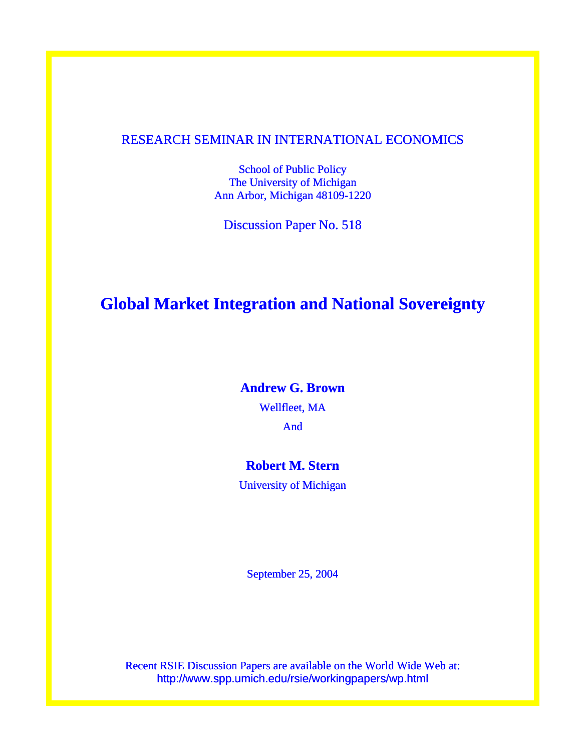# RESEARCH SEMINAR IN INTERNATIONAL ECONOMICS

School of Public Policy The University of Michigan Ann Arbor, Michigan 48109-1220

Discussion Paper No. 518

# **Global Market Integration and National Sovereignty**

**Andrew G. Brown** Wellfleet, MA And

# **Robert M. Stern**

University of Michigan

September 25, 2004

Recent RSIE Discussion Papers are available on the World Wide Web at: http://www.spp.umich.edu/rsie/workingpapers/wp.html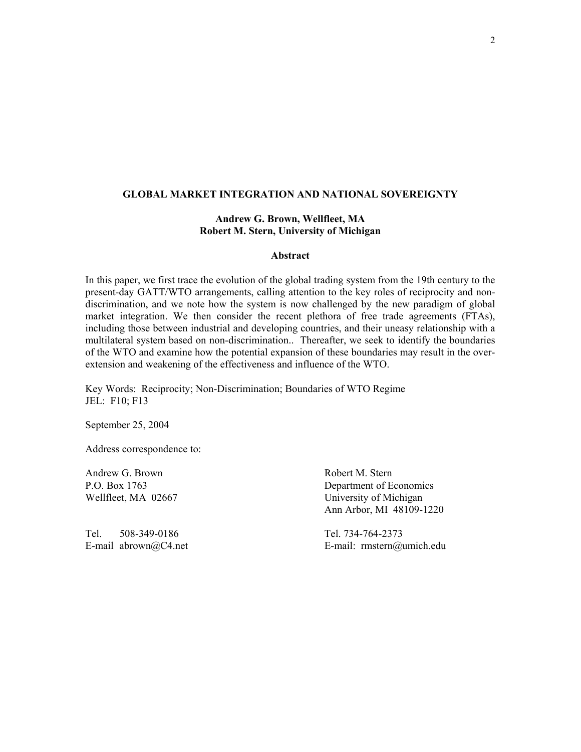#### **GLOBAL MARKET INTEGRATION AND NATIONAL SOVEREIGNTY**

# **Andrew G. Brown, Wellfleet, MA Robert M. Stern, University of Michigan**

#### **Abstract**

In this paper, we first trace the evolution of the global trading system from the 19th century to the present-day GATT/WTO arrangements, calling attention to the key roles of reciprocity and nondiscrimination, and we note how the system is now challenged by the new paradigm of global market integration. We then consider the recent plethora of free trade agreements (FTAs), including those between industrial and developing countries, and their uneasy relationship with a multilateral system based on non-discrimination.. Thereafter, we seek to identify the boundaries of the WTO and examine how the potential expansion of these boundaries may result in the overextension and weakening of the effectiveness and influence of the WTO.

Key Words: Reciprocity; Non-Discrimination; Boundaries of WTO Regime JEL: F10; F13

September 25, 2004

Address correspondence to:

Andrew G. Brown **Robert M. Stern** 

Tel. 508-349-0186 Tel. 734-764-2373

P.O. Box 1763 Department of Economics Wellfleet, MA 02667 University of Michigan Ann Arbor, MI 48109-1220

E-mail abrown@C4.net E-mail: rmstern@umich.edu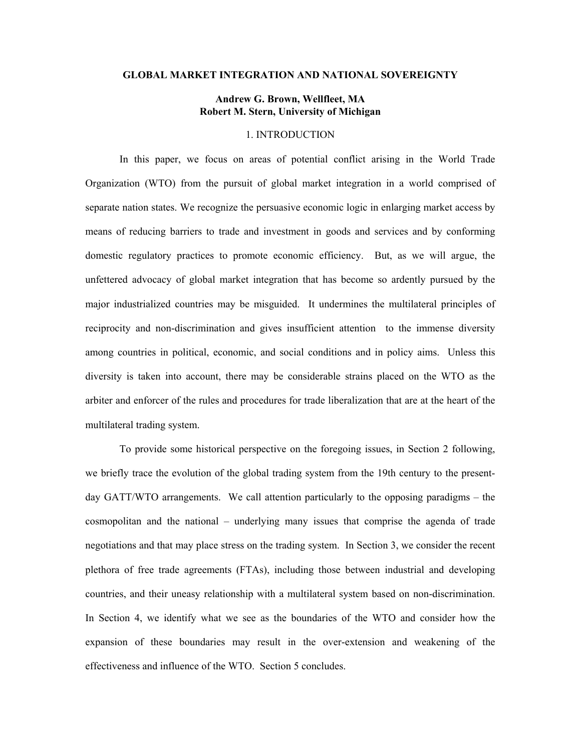#### **GLOBAL MARKET INTEGRATION AND NATIONAL SOVEREIGNTY**

# **Andrew G. Brown, Wellfleet, MA Robert M. Stern, University of Michigan**

## 1. INTRODUCTION

In this paper, we focus on areas of potential conflict arising in the World Trade Organization (WTO) from the pursuit of global market integration in a world comprised of separate nation states. We recognize the persuasive economic logic in enlarging market access by means of reducing barriers to trade and investment in goods and services and by conforming domestic regulatory practices to promote economic efficiency. But, as we will argue, the unfettered advocacy of global market integration that has become so ardently pursued by the major industrialized countries may be misguided. It undermines the multilateral principles of reciprocity and non-discrimination and gives insufficient attention to the immense diversity among countries in political, economic, and social conditions and in policy aims. Unless this diversity is taken into account, there may be considerable strains placed on the WTO as the arbiter and enforcer of the rules and procedures for trade liberalization that are at the heart of the multilateral trading system.

To provide some historical perspective on the foregoing issues, in Section 2 following, we briefly trace the evolution of the global trading system from the 19th century to the presentday GATT/WTO arrangements. We call attention particularly to the opposing paradigms – the cosmopolitan and the national – underlying many issues that comprise the agenda of trade negotiations and that may place stress on the trading system. In Section 3, we consider the recent plethora of free trade agreements (FTAs), including those between industrial and developing countries, and their uneasy relationship with a multilateral system based on non-discrimination. In Section 4, we identify what we see as the boundaries of the WTO and consider how the expansion of these boundaries may result in the over-extension and weakening of the effectiveness and influence of the WTO. Section 5 concludes.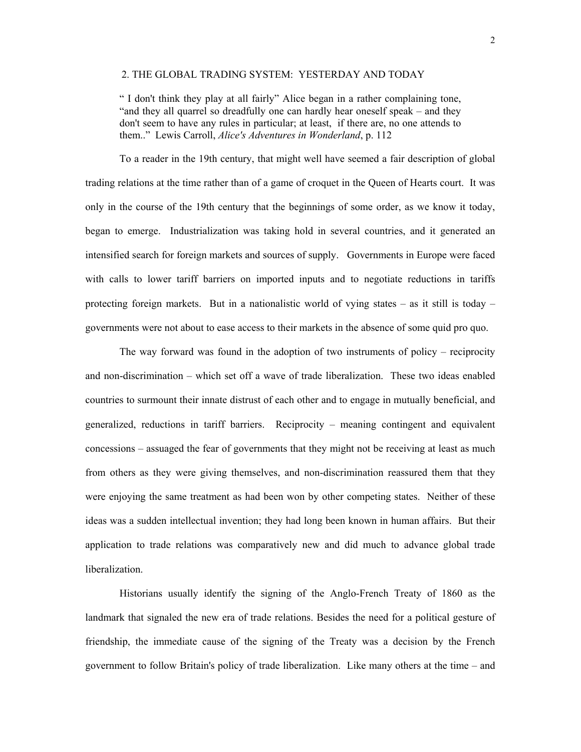#### 2. THE GLOBAL TRADING SYSTEM: YESTERDAY AND TODAY

" I don't think they play at all fairly" Alice began in a rather complaining tone, "and they all quarrel so dreadfully one can hardly hear oneself speak – and they don't seem to have any rules in particular; at least, if there are, no one attends to them.." Lewis Carroll, *Alice's Adventures in Wonderland*, p. 112

To a reader in the 19th century, that might well have seemed a fair description of global trading relations at the time rather than of a game of croquet in the Queen of Hearts court. It was only in the course of the 19th century that the beginnings of some order, as we know it today, began to emerge. Industrialization was taking hold in several countries, and it generated an intensified search for foreign markets and sources of supply. Governments in Europe were faced with calls to lower tariff barriers on imported inputs and to negotiate reductions in tariffs protecting foreign markets. But in a nationalistic world of vying states – as it still is today – governments were not about to ease access to their markets in the absence of some quid pro quo.

The way forward was found in the adoption of two instruments of policy – reciprocity and non-discrimination – which set off a wave of trade liberalization. These two ideas enabled countries to surmount their innate distrust of each other and to engage in mutually beneficial, and generalized, reductions in tariff barriers. Reciprocity – meaning contingent and equivalent concessions – assuaged the fear of governments that they might not be receiving at least as much from others as they were giving themselves, and non-discrimination reassured them that they were enjoying the same treatment as had been won by other competing states. Neither of these ideas was a sudden intellectual invention; they had long been known in human affairs. But their application to trade relations was comparatively new and did much to advance global trade liberalization.

Historians usually identify the signing of the Anglo-French Treaty of 1860 as the landmark that signaled the new era of trade relations. Besides the need for a political gesture of friendship, the immediate cause of the signing of the Treaty was a decision by the French government to follow Britain's policy of trade liberalization. Like many others at the time – and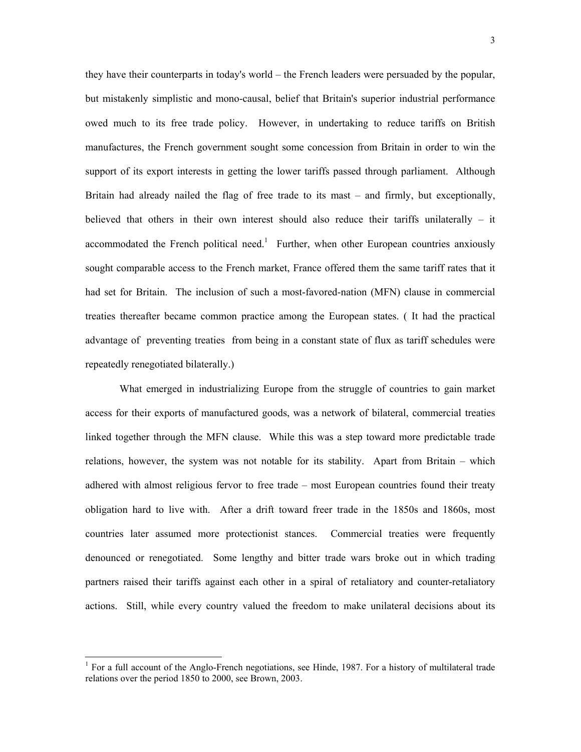they have their counterparts in today's world – the French leaders were persuaded by the popular, but mistakenly simplistic and mono-causal, belief that Britain's superior industrial performance owed much to its free trade policy. However, in undertaking to reduce tariffs on British manufactures, the French government sought some concession from Britain in order to win the support of its export interests in getting the lower tariffs passed through parliament. Although Britain had already nailed the flag of free trade to its mast – and firmly, but exceptionally, believed that others in their own interest should also reduce their tariffs unilaterally – it accommodated the French political need.<sup>[1](#page-4-0)</sup> Further, when other European countries anxiously sought comparable access to the French market, France offered them the same tariff rates that it had set for Britain. The inclusion of such a most-favored-nation (MFN) clause in commercial treaties thereafter became common practice among the European states. ( It had the practical advantage of preventing treaties from being in a constant state of flux as tariff schedules were repeatedly renegotiated bilaterally.)

What emerged in industrializing Europe from the struggle of countries to gain market access for their exports of manufactured goods, was a network of bilateral, commercial treaties linked together through the MFN clause. While this was a step toward more predictable trade relations, however, the system was not notable for its stability. Apart from Britain – which adhered with almost religious fervor to free trade – most European countries found their treaty obligation hard to live with. After a drift toward freer trade in the 1850s and 1860s, most countries later assumed more protectionist stances. Commercial treaties were frequently denounced or renegotiated. Some lengthy and bitter trade wars broke out in which trading partners raised their tariffs against each other in a spiral of retaliatory and counter-retaliatory actions. Still, while every country valued the freedom to make unilateral decisions about its

<span id="page-4-0"></span><sup>|&</sup>lt;br>| <sup>1</sup> For a full account of the Anglo-French negotiations, see Hinde, 1987. For a history of multilateral trade relations over the period 1850 to 2000, see Brown, 2003.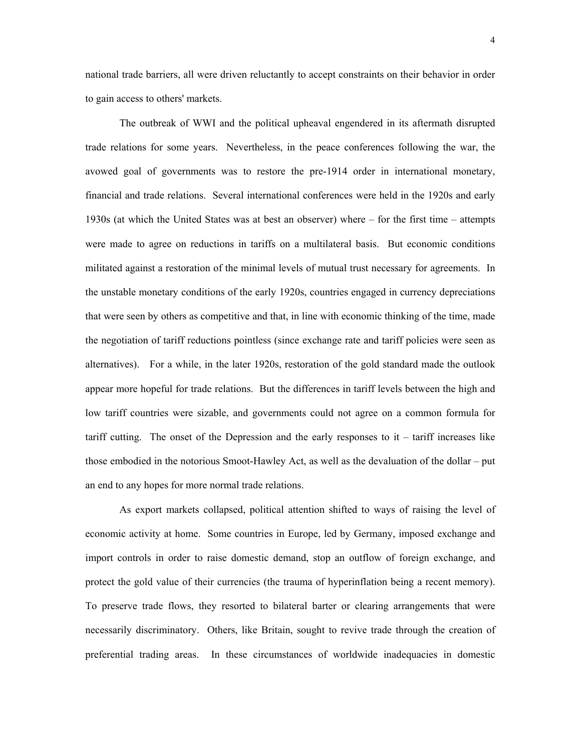national trade barriers, all were driven reluctantly to accept constraints on their behavior in order to gain access to others' markets.

The outbreak of WWI and the political upheaval engendered in its aftermath disrupted trade relations for some years. Nevertheless, in the peace conferences following the war, the avowed goal of governments was to restore the pre-1914 order in international monetary, financial and trade relations. Several international conferences were held in the 1920s and early 1930s (at which the United States was at best an observer) where – for the first time – attempts were made to agree on reductions in tariffs on a multilateral basis. But economic conditions militated against a restoration of the minimal levels of mutual trust necessary for agreements. In the unstable monetary conditions of the early 1920s, countries engaged in currency depreciations that were seen by others as competitive and that, in line with economic thinking of the time, made the negotiation of tariff reductions pointless (since exchange rate and tariff policies were seen as alternatives). For a while, in the later 1920s, restoration of the gold standard made the outlook appear more hopeful for trade relations. But the differences in tariff levels between the high and low tariff countries were sizable, and governments could not agree on a common formula for tariff cutting. The onset of the Depression and the early responses to  $it - \text{tariff}$  increases like those embodied in the notorious Smoot-Hawley Act, as well as the devaluation of the dollar – put an end to any hopes for more normal trade relations.

As export markets collapsed, political attention shifted to ways of raising the level of economic activity at home. Some countries in Europe, led by Germany, imposed exchange and import controls in order to raise domestic demand, stop an outflow of foreign exchange, and protect the gold value of their currencies (the trauma of hyperinflation being a recent memory). To preserve trade flows, they resorted to bilateral barter or clearing arrangements that were necessarily discriminatory. Others, like Britain, sought to revive trade through the creation of preferential trading areas. In these circumstances of worldwide inadequacies in domestic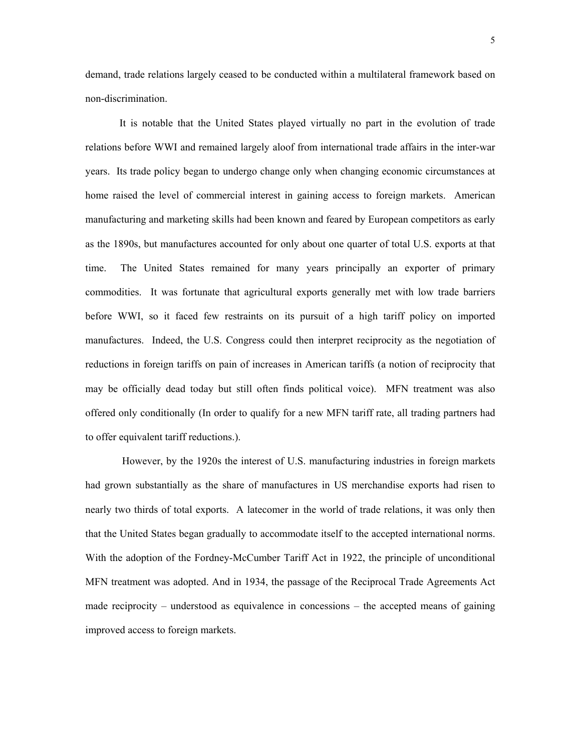demand, trade relations largely ceased to be conducted within a multilateral framework based on non-discrimination.

It is notable that the United States played virtually no part in the evolution of trade relations before WWI and remained largely aloof from international trade affairs in the inter-war years. Its trade policy began to undergo change only when changing economic circumstances at home raised the level of commercial interest in gaining access to foreign markets. American manufacturing and marketing skills had been known and feared by European competitors as early as the 1890s, but manufactures accounted for only about one quarter of total U.S. exports at that time. The United States remained for many years principally an exporter of primary commodities. It was fortunate that agricultural exports generally met with low trade barriers before WWI, so it faced few restraints on its pursuit of a high tariff policy on imported manufactures. Indeed, the U.S. Congress could then interpret reciprocity as the negotiation of reductions in foreign tariffs on pain of increases in American tariffs (a notion of reciprocity that may be officially dead today but still often finds political voice). MFN treatment was also offered only conditionally (In order to qualify for a new MFN tariff rate, all trading partners had to offer equivalent tariff reductions.).

However, by the 1920s the interest of U.S. manufacturing industries in foreign markets had grown substantially as the share of manufactures in US merchandise exports had risen to nearly two thirds of total exports. A latecomer in the world of trade relations, it was only then that the United States began gradually to accommodate itself to the accepted international norms. With the adoption of the Fordney-McCumber Tariff Act in 1922, the principle of unconditional MFN treatment was adopted. And in 1934, the passage of the Reciprocal Trade Agreements Act made reciprocity – understood as equivalence in concessions – the accepted means of gaining improved access to foreign markets.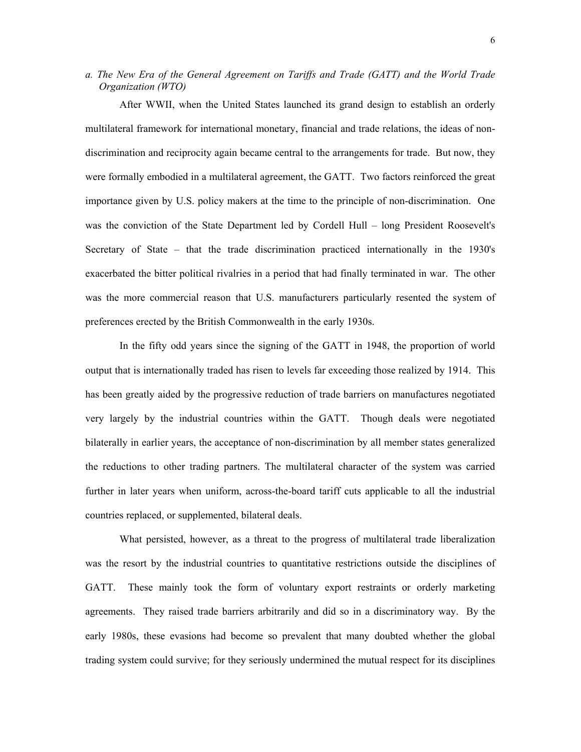*a. The New Era of the General Agreement on Tariffs and Trade (GATT) and the World Trade Organization (WTO)* 

After WWII, when the United States launched its grand design to establish an orderly multilateral framework for international monetary, financial and trade relations, the ideas of nondiscrimination and reciprocity again became central to the arrangements for trade. But now, they were formally embodied in a multilateral agreement, the GATT. Two factors reinforced the great importance given by U.S. policy makers at the time to the principle of non-discrimination. One was the conviction of the State Department led by Cordell Hull – long President Roosevelt's Secretary of State – that the trade discrimination practiced internationally in the 1930's exacerbated the bitter political rivalries in a period that had finally terminated in war. The other was the more commercial reason that U.S. manufacturers particularly resented the system of preferences erected by the British Commonwealth in the early 1930s.

In the fifty odd years since the signing of the GATT in 1948, the proportion of world output that is internationally traded has risen to levels far exceeding those realized by 1914. This has been greatly aided by the progressive reduction of trade barriers on manufactures negotiated very largely by the industrial countries within the GATT. Though deals were negotiated bilaterally in earlier years, the acceptance of non-discrimination by all member states generalized the reductions to other trading partners. The multilateral character of the system was carried further in later years when uniform, across-the-board tariff cuts applicable to all the industrial countries replaced, or supplemented, bilateral deals.

What persisted, however, as a threat to the progress of multilateral trade liberalization was the resort by the industrial countries to quantitative restrictions outside the disciplines of GATT. These mainly took the form of voluntary export restraints or orderly marketing agreements. They raised trade barriers arbitrarily and did so in a discriminatory way. By the early 1980s, these evasions had become so prevalent that many doubted whether the global trading system could survive; for they seriously undermined the mutual respect for its disciplines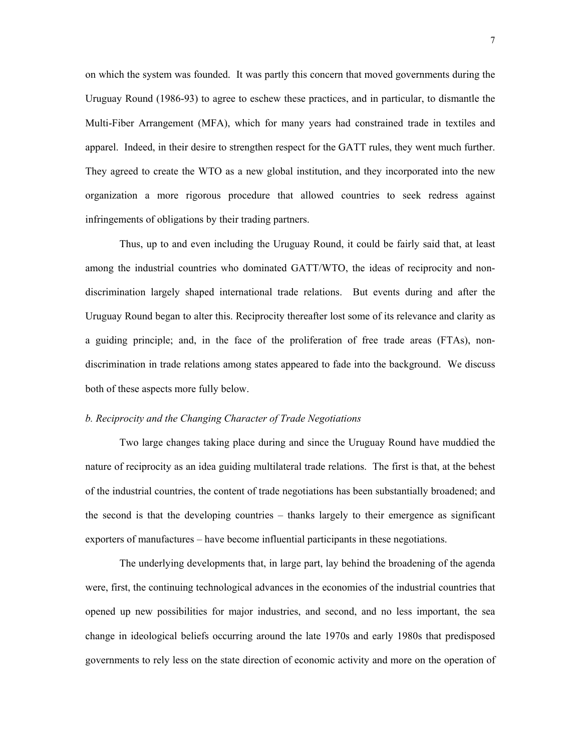on which the system was founded. It was partly this concern that moved governments during the Uruguay Round (1986-93) to agree to eschew these practices, and in particular, to dismantle the Multi-Fiber Arrangement (MFA), which for many years had constrained trade in textiles and apparel. Indeed, in their desire to strengthen respect for the GATT rules, they went much further. They agreed to create the WTO as a new global institution, and they incorporated into the new organization a more rigorous procedure that allowed countries to seek redress against infringements of obligations by their trading partners.

Thus, up to and even including the Uruguay Round, it could be fairly said that, at least among the industrial countries who dominated GATT/WTO, the ideas of reciprocity and nondiscrimination largely shaped international trade relations. But events during and after the Uruguay Round began to alter this. Reciprocity thereafter lost some of its relevance and clarity as a guiding principle; and, in the face of the proliferation of free trade areas (FTAs), nondiscrimination in trade relations among states appeared to fade into the background. We discuss both of these aspects more fully below.

# *b. Reciprocity and the Changing Character of Trade Negotiations*

Two large changes taking place during and since the Uruguay Round have muddied the nature of reciprocity as an idea guiding multilateral trade relations. The first is that, at the behest of the industrial countries, the content of trade negotiations has been substantially broadened; and the second is that the developing countries – thanks largely to their emergence as significant exporters of manufactures – have become influential participants in these negotiations.

The underlying developments that, in large part, lay behind the broadening of the agenda were, first, the continuing technological advances in the economies of the industrial countries that opened up new possibilities for major industries, and second, and no less important, the sea change in ideological beliefs occurring around the late 1970s and early 1980s that predisposed governments to rely less on the state direction of economic activity and more on the operation of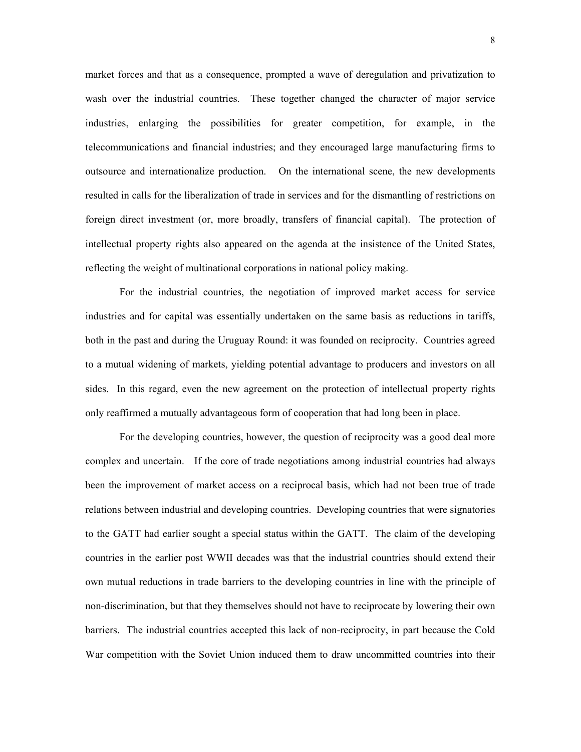market forces and that as a consequence, prompted a wave of deregulation and privatization to wash over the industrial countries. These together changed the character of major service industries, enlarging the possibilities for greater competition, for example, in the telecommunications and financial industries; and they encouraged large manufacturing firms to outsource and internationalize production. On the international scene, the new developments resulted in calls for the liberalization of trade in services and for the dismantling of restrictions on foreign direct investment (or, more broadly, transfers of financial capital). The protection of intellectual property rights also appeared on the agenda at the insistence of the United States, reflecting the weight of multinational corporations in national policy making.

For the industrial countries, the negotiation of improved market access for service industries and for capital was essentially undertaken on the same basis as reductions in tariffs, both in the past and during the Uruguay Round: it was founded on reciprocity. Countries agreed to a mutual widening of markets, yielding potential advantage to producers and investors on all sides. In this regard, even the new agreement on the protection of intellectual property rights only reaffirmed a mutually advantageous form of cooperation that had long been in place.

For the developing countries, however, the question of reciprocity was a good deal more complex and uncertain. If the core of trade negotiations among industrial countries had always been the improvement of market access on a reciprocal basis, which had not been true of trade relations between industrial and developing countries. Developing countries that were signatories to the GATT had earlier sought a special status within the GATT. The claim of the developing countries in the earlier post WWII decades was that the industrial countries should extend their own mutual reductions in trade barriers to the developing countries in line with the principle of non-discrimination, but that they themselves should not have to reciprocate by lowering their own barriers. The industrial countries accepted this lack of non-reciprocity, in part because the Cold War competition with the Soviet Union induced them to draw uncommitted countries into their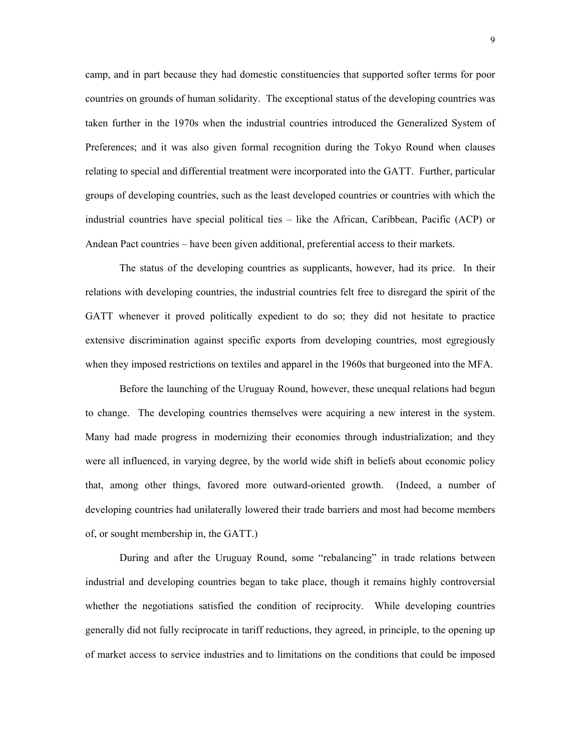camp, and in part because they had domestic constituencies that supported softer terms for poor countries on grounds of human solidarity. The exceptional status of the developing countries was taken further in the 1970s when the industrial countries introduced the Generalized System of Preferences; and it was also given formal recognition during the Tokyo Round when clauses relating to special and differential treatment were incorporated into the GATT. Further, particular groups of developing countries, such as the least developed countries or countries with which the industrial countries have special political ties – like the African, Caribbean, Pacific (ACP) or Andean Pact countries – have been given additional, preferential access to their markets.

The status of the developing countries as supplicants, however, had its price. In their relations with developing countries, the industrial countries felt free to disregard the spirit of the GATT whenever it proved politically expedient to do so; they did not hesitate to practice extensive discrimination against specific exports from developing countries, most egregiously when they imposed restrictions on textiles and apparel in the 1960s that burgeoned into the MFA.

Before the launching of the Uruguay Round, however, these unequal relations had begun to change. The developing countries themselves were acquiring a new interest in the system. Many had made progress in modernizing their economies through industrialization; and they were all influenced, in varying degree, by the world wide shift in beliefs about economic policy that, among other things, favored more outward-oriented growth. (Indeed, a number of developing countries had unilaterally lowered their trade barriers and most had become members of, or sought membership in, the GATT.)

During and after the Uruguay Round, some "rebalancing" in trade relations between industrial and developing countries began to take place, though it remains highly controversial whether the negotiations satisfied the condition of reciprocity. While developing countries generally did not fully reciprocate in tariff reductions, they agreed, in principle, to the opening up of market access to service industries and to limitations on the conditions that could be imposed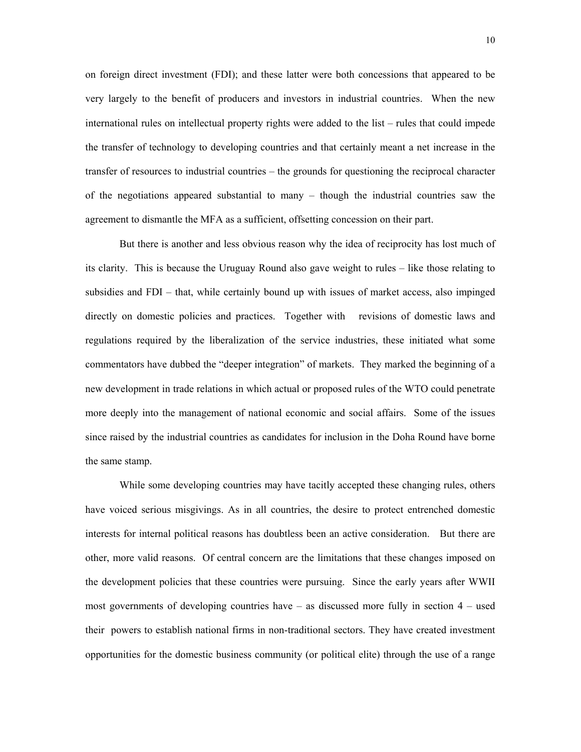on foreign direct investment (FDI); and these latter were both concessions that appeared to be very largely to the benefit of producers and investors in industrial countries. When the new international rules on intellectual property rights were added to the list – rules that could impede the transfer of technology to developing countries and that certainly meant a net increase in the transfer of resources to industrial countries – the grounds for questioning the reciprocal character of the negotiations appeared substantial to many – though the industrial countries saw the agreement to dismantle the MFA as a sufficient, offsetting concession on their part.

But there is another and less obvious reason why the idea of reciprocity has lost much of its clarity. This is because the Uruguay Round also gave weight to rules – like those relating to subsidies and FDI – that, while certainly bound up with issues of market access, also impinged directly on domestic policies and practices. Together with revisions of domestic laws and regulations required by the liberalization of the service industries, these initiated what some commentators have dubbed the "deeper integration" of markets. They marked the beginning of a new development in trade relations in which actual or proposed rules of the WTO could penetrate more deeply into the management of national economic and social affairs. Some of the issues since raised by the industrial countries as candidates for inclusion in the Doha Round have borne the same stamp.

While some developing countries may have tacitly accepted these changing rules, others have voiced serious misgivings. As in all countries, the desire to protect entrenched domestic interests for internal political reasons has doubtless been an active consideration. But there are other, more valid reasons. Of central concern are the limitations that these changes imposed on the development policies that these countries were pursuing. Since the early years after WWII most governments of developing countries have – as discussed more fully in section 4 – used their powers to establish national firms in non-traditional sectors. They have created investment opportunities for the domestic business community (or political elite) through the use of a range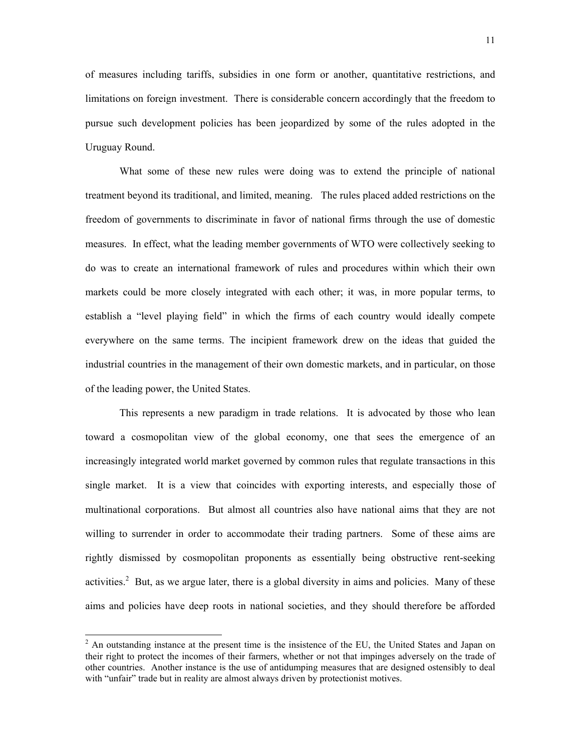of measures including tariffs, subsidies in one form or another, quantitative restrictions, and limitations on foreign investment. There is considerable concern accordingly that the freedom to pursue such development policies has been jeopardized by some of the rules adopted in the Uruguay Round.

What some of these new rules were doing was to extend the principle of national treatment beyond its traditional, and limited, meaning. The rules placed added restrictions on the freedom of governments to discriminate in favor of national firms through the use of domestic measures. In effect, what the leading member governments of WTO were collectively seeking to do was to create an international framework of rules and procedures within which their own markets could be more closely integrated with each other; it was, in more popular terms, to establish a "level playing field" in which the firms of each country would ideally compete everywhere on the same terms. The incipient framework drew on the ideas that guided the industrial countries in the management of their own domestic markets, and in particular, on those of the leading power, the United States.

This represents a new paradigm in trade relations. It is advocated by those who lean toward a cosmopolitan view of the global economy, one that sees the emergence of an increasingly integrated world market governed by common rules that regulate transactions in this single market. It is a view that coincides with exporting interests, and especially those of multinational corporations. But almost all countries also have national aims that they are not willing to surrender in order to accommodate their trading partners. Some of these aims are rightly dismissed by cosmopolitan proponents as essentially being obstructive rent-seeking activities.<sup>2</sup>But, as we argue later, there is a global diversity in aims and policies. Many of these aims and policies have deep roots in national societies, and they should therefore be afforded

<span id="page-12-0"></span><sup>&</sup>lt;sup>2</sup>  $^2$  An outstanding instance at the present time is the insistence of the EU, the United States and Japan on their right to protect the incomes of their farmers, whether or not that impinges adversely on the trade of other countries. Another instance is the use of antidumping measures that are designed ostensibly to deal with "unfair" trade but in reality are almost always driven by protectionist motives.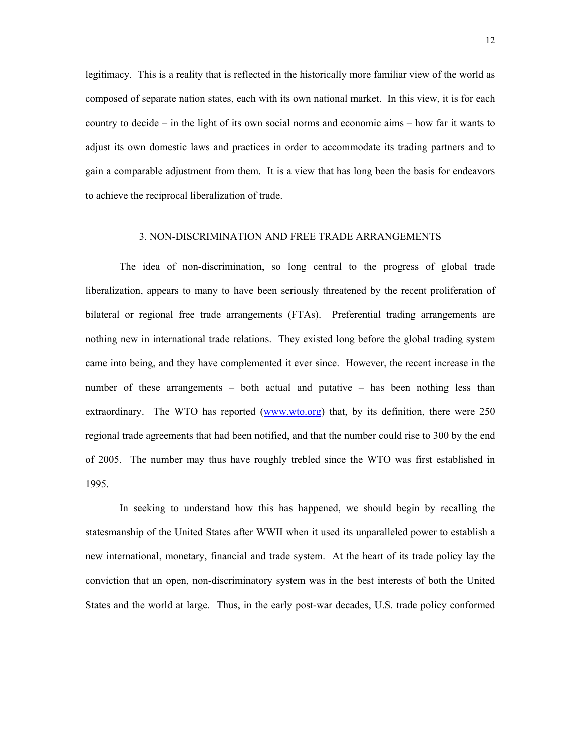legitimacy. This is a reality that is reflected in the historically more familiar view of the world as composed of separate nation states, each with its own national market. In this view, it is for each country to decide – in the light of its own social norms and economic aims – how far it wants to adjust its own domestic laws and practices in order to accommodate its trading partners and to gain a comparable adjustment from them. It is a view that has long been the basis for endeavors to achieve the reciprocal liberalization of trade.

#### 3. NON-DISCRIMINATION AND FREE TRADE ARRANGEMENTS

The idea of non-discrimination, so long central to the progress of global trade liberalization, appears to many to have been seriously threatened by the recent proliferation of bilateral or regional free trade arrangements (FTAs). Preferential trading arrangements are nothing new in international trade relations. They existed long before the global trading system came into being, and they have complemented it ever since. However, the recent increase in the number of these arrangements – both actual and putative – has been nothing less than extraordinary. The WTO has reported (www.wto.org) that, by its definition, there were 250 regional trade agreements that had been notified, and that the number could rise to 300 by the end of 2005. The number may thus have roughly trebled since the WTO was first established in 1995.

In seeking to understand how this has happened, we should begin by recalling the statesmanship of the United States after WWII when it used its unparalleled power to establish a new international, monetary, financial and trade system. At the heart of its trade policy lay the conviction that an open, non-discriminatory system was in the best interests of both the United States and the world at large. Thus, in the early post-war decades, U.S. trade policy conformed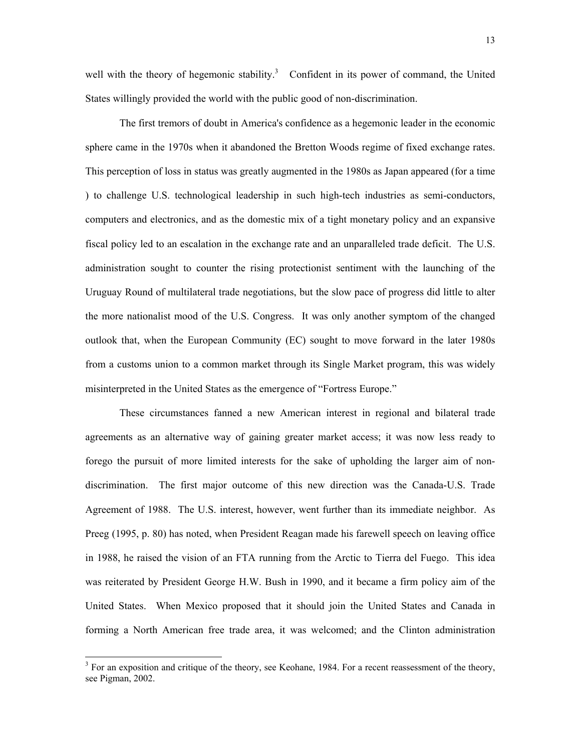well with the theory of hegemonic stability.<sup>[3](#page-14-0)</sup> Confident in its power of command, the United States willingly provided the world with the public good of non-discrimination.

The first tremors of doubt in America's confidence as a hegemonic leader in the economic sphere came in the 1970s when it abandoned the Bretton Woods regime of fixed exchange rates. This perception of loss in status was greatly augmented in the 1980s as Japan appeared (for a time ) to challenge U.S. technological leadership in such high-tech industries as semi-conductors, computers and electronics, and as the domestic mix of a tight monetary policy and an expansive fiscal policy led to an escalation in the exchange rate and an unparalleled trade deficit. The U.S. administration sought to counter the rising protectionist sentiment with the launching of the Uruguay Round of multilateral trade negotiations, but the slow pace of progress did little to alter the more nationalist mood of the U.S. Congress. It was only another symptom of the changed outlook that, when the European Community (EC) sought to move forward in the later 1980s from a customs union to a common market through its Single Market program, this was widely misinterpreted in the United States as the emergence of "Fortress Europe."

These circumstances fanned a new American interest in regional and bilateral trade agreements as an alternative way of gaining greater market access; it was now less ready to forego the pursuit of more limited interests for the sake of upholding the larger aim of nondiscrimination. The first major outcome of this new direction was the Canada-U.S. Trade Agreement of 1988. The U.S. interest, however, went further than its immediate neighbor. As Preeg (1995, p. 80) has noted, when President Reagan made his farewell speech on leaving office in 1988, he raised the vision of an FTA running from the Arctic to Tierra del Fuego. This idea was reiterated by President George H.W. Bush in 1990, and it became a firm policy aim of the United States. When Mexico proposed that it should join the United States and Canada in forming a North American free trade area, it was welcomed; and the Clinton administration

<span id="page-14-0"></span> $3$  For an exposition and critique of the theory, see Keohane, 1984. For a recent reassessment of the theory, see Pigman, 2002.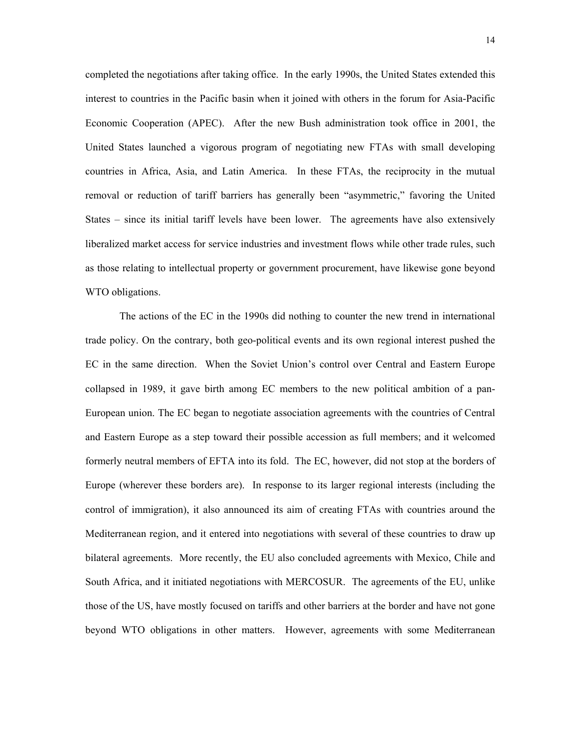completed the negotiations after taking office. In the early 1990s, the United States extended this interest to countries in the Pacific basin when it joined with others in the forum for Asia-Pacific Economic Cooperation (APEC). After the new Bush administration took office in 2001, the United States launched a vigorous program of negotiating new FTAs with small developing countries in Africa, Asia, and Latin America. In these FTAs, the reciprocity in the mutual removal or reduction of tariff barriers has generally been "asymmetric," favoring the United States – since its initial tariff levels have been lower. The agreements have also extensively liberalized market access for service industries and investment flows while other trade rules, such as those relating to intellectual property or government procurement, have likewise gone beyond WTO obligations.

The actions of the EC in the 1990s did nothing to counter the new trend in international trade policy. On the contrary, both geo-political events and its own regional interest pushed the EC in the same direction. When the Soviet Union's control over Central and Eastern Europe collapsed in 1989, it gave birth among EC members to the new political ambition of a pan-European union. The EC began to negotiate association agreements with the countries of Central and Eastern Europe as a step toward their possible accession as full members; and it welcomed formerly neutral members of EFTA into its fold. The EC, however, did not stop at the borders of Europe (wherever these borders are). In response to its larger regional interests (including the control of immigration), it also announced its aim of creating FTAs with countries around the Mediterranean region, and it entered into negotiations with several of these countries to draw up bilateral agreements. More recently, the EU also concluded agreements with Mexico, Chile and South Africa, and it initiated negotiations with MERCOSUR. The agreements of the EU, unlike those of the US, have mostly focused on tariffs and other barriers at the border and have not gone beyond WTO obligations in other matters. However, agreements with some Mediterranean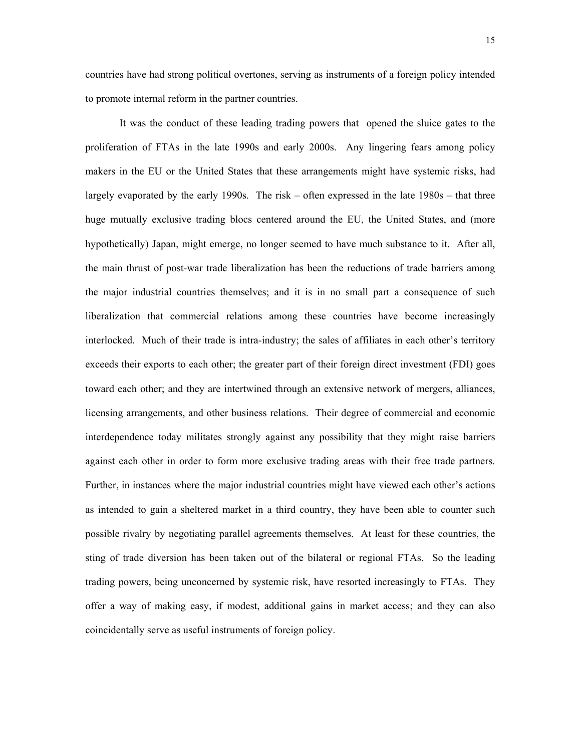countries have had strong political overtones, serving as instruments of a foreign policy intended to promote internal reform in the partner countries.

It was the conduct of these leading trading powers that opened the sluice gates to the proliferation of FTAs in the late 1990s and early 2000s. Any lingering fears among policy makers in the EU or the United States that these arrangements might have systemic risks, had largely evaporated by the early 1990s. The risk – often expressed in the late 1980s – that three huge mutually exclusive trading blocs centered around the EU, the United States, and (more hypothetically) Japan, might emerge, no longer seemed to have much substance to it. After all, the main thrust of post-war trade liberalization has been the reductions of trade barriers among the major industrial countries themselves; and it is in no small part a consequence of such liberalization that commercial relations among these countries have become increasingly interlocked. Much of their trade is intra-industry; the sales of affiliates in each other's territory exceeds their exports to each other; the greater part of their foreign direct investment (FDI) goes toward each other; and they are intertwined through an extensive network of mergers, alliances, licensing arrangements, and other business relations. Their degree of commercial and economic interdependence today militates strongly against any possibility that they might raise barriers against each other in order to form more exclusive trading areas with their free trade partners. Further, in instances where the major industrial countries might have viewed each other's actions as intended to gain a sheltered market in a third country, they have been able to counter such possible rivalry by negotiating parallel agreements themselves. At least for these countries, the sting of trade diversion has been taken out of the bilateral or regional FTAs. So the leading trading powers, being unconcerned by systemic risk, have resorted increasingly to FTAs. They offer a way of making easy, if modest, additional gains in market access; and they can also coincidentally serve as useful instruments of foreign policy.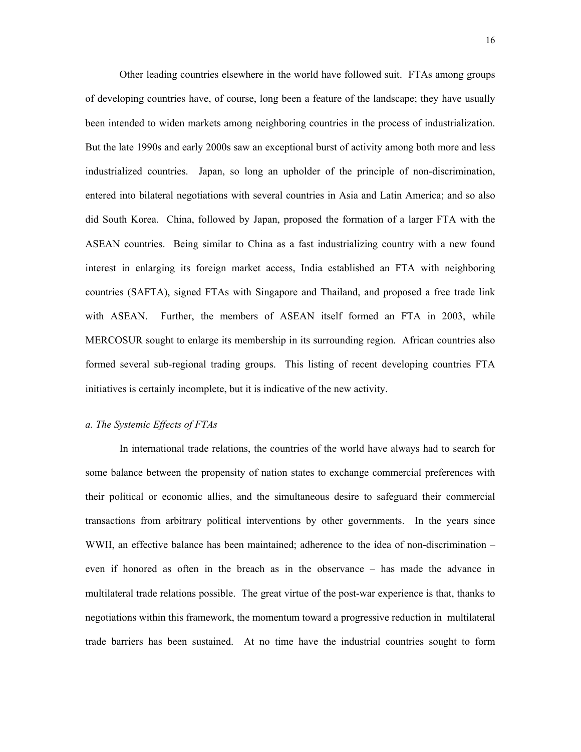Other leading countries elsewhere in the world have followed suit. FTAs among groups of developing countries have, of course, long been a feature of the landscape; they have usually been intended to widen markets among neighboring countries in the process of industrialization. But the late 1990s and early 2000s saw an exceptional burst of activity among both more and less industrialized countries. Japan, so long an upholder of the principle of non-discrimination, entered into bilateral negotiations with several countries in Asia and Latin America; and so also did South Korea. China, followed by Japan, proposed the formation of a larger FTA with the ASEAN countries. Being similar to China as a fast industrializing country with a new found interest in enlarging its foreign market access, India established an FTA with neighboring countries (SAFTA), signed FTAs with Singapore and Thailand, and proposed a free trade link with ASEAN. Further, the members of ASEAN itself formed an FTA in 2003, while MERCOSUR sought to enlarge its membership in its surrounding region. African countries also formed several sub-regional trading groups. This listing of recent developing countries FTA initiatives is certainly incomplete, but it is indicative of the new activity.

# *a. The Systemic Effects of FTAs*

In international trade relations, the countries of the world have always had to search for some balance between the propensity of nation states to exchange commercial preferences with their political or economic allies, and the simultaneous desire to safeguard their commercial transactions from arbitrary political interventions by other governments. In the years since WWII, an effective balance has been maintained; adherence to the idea of non-discrimination – even if honored as often in the breach as in the observance – has made the advance in multilateral trade relations possible. The great virtue of the post-war experience is that, thanks to negotiations within this framework, the momentum toward a progressive reduction in multilateral trade barriers has been sustained. At no time have the industrial countries sought to form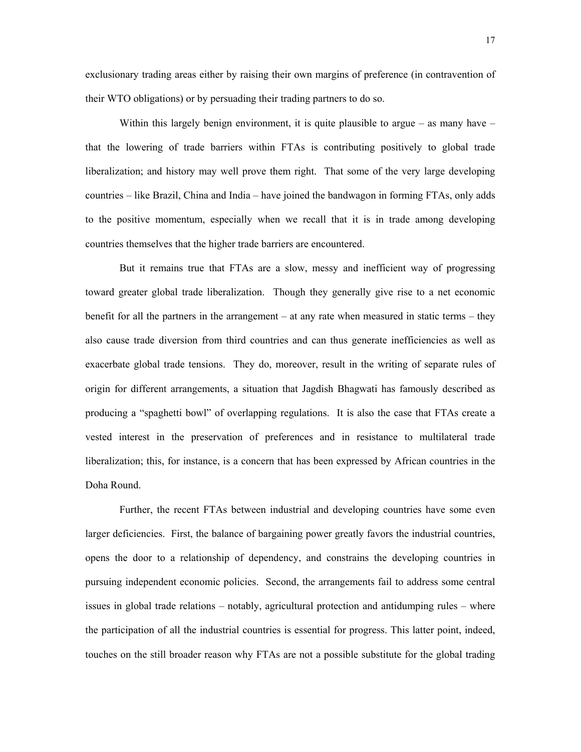exclusionary trading areas either by raising their own margins of preference (in contravention of their WTO obligations) or by persuading their trading partners to do so.

Within this largely benign environment, it is quite plausible to argue  $-$  as many have  $$ that the lowering of trade barriers within FTAs is contributing positively to global trade liberalization; and history may well prove them right. That some of the very large developing countries – like Brazil, China and India – have joined the bandwagon in forming FTAs, only adds to the positive momentum, especially when we recall that it is in trade among developing countries themselves that the higher trade barriers are encountered.

But it remains true that FTAs are a slow, messy and inefficient way of progressing toward greater global trade liberalization. Though they generally give rise to a net economic benefit for all the partners in the arrangement – at any rate when measured in static terms – they also cause trade diversion from third countries and can thus generate inefficiencies as well as exacerbate global trade tensions. They do, moreover, result in the writing of separate rules of origin for different arrangements, a situation that Jagdish Bhagwati has famously described as producing a "spaghetti bowl" of overlapping regulations. It is also the case that FTAs create a vested interest in the preservation of preferences and in resistance to multilateral trade liberalization; this, for instance, is a concern that has been expressed by African countries in the Doha Round.

Further, the recent FTAs between industrial and developing countries have some even larger deficiencies. First, the balance of bargaining power greatly favors the industrial countries, opens the door to a relationship of dependency, and constrains the developing countries in pursuing independent economic policies. Second, the arrangements fail to address some central issues in global trade relations – notably, agricultural protection and antidumping rules – where the participation of all the industrial countries is essential for progress. This latter point, indeed, touches on the still broader reason why FTAs are not a possible substitute for the global trading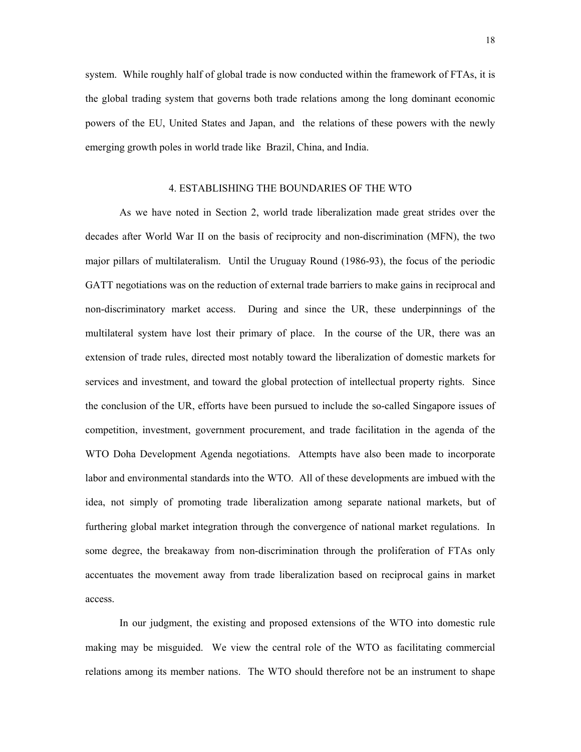system. While roughly half of global trade is now conducted within the framework of FTAs, it is the global trading system that governs both trade relations among the long dominant economic powers of the EU, United States and Japan, and the relations of these powers with the newly emerging growth poles in world trade like Brazil, China, and India.

#### 4. ESTABLISHING THE BOUNDARIES OF THE WTO

As we have noted in Section 2, world trade liberalization made great strides over the decades after World War II on the basis of reciprocity and non-discrimination (MFN), the two major pillars of multilateralism. Until the Uruguay Round (1986-93), the focus of the periodic GATT negotiations was on the reduction of external trade barriers to make gains in reciprocal and non-discriminatory market access. During and since the UR, these underpinnings of the multilateral system have lost their primary of place. In the course of the UR, there was an extension of trade rules, directed most notably toward the liberalization of domestic markets for services and investment, and toward the global protection of intellectual property rights. Since the conclusion of the UR, efforts have been pursued to include the so-called Singapore issues of competition, investment, government procurement, and trade facilitation in the agenda of the WTO Doha Development Agenda negotiations. Attempts have also been made to incorporate labor and environmental standards into the WTO. All of these developments are imbued with the idea, not simply of promoting trade liberalization among separate national markets, but of furthering global market integration through the convergence of national market regulations. In some degree, the breakaway from non-discrimination through the proliferation of FTAs only accentuates the movement away from trade liberalization based on reciprocal gains in market access.

In our judgment, the existing and proposed extensions of the WTO into domestic rule making may be misguided. We view the central role of the WTO as facilitating commercial relations among its member nations. The WTO should therefore not be an instrument to shape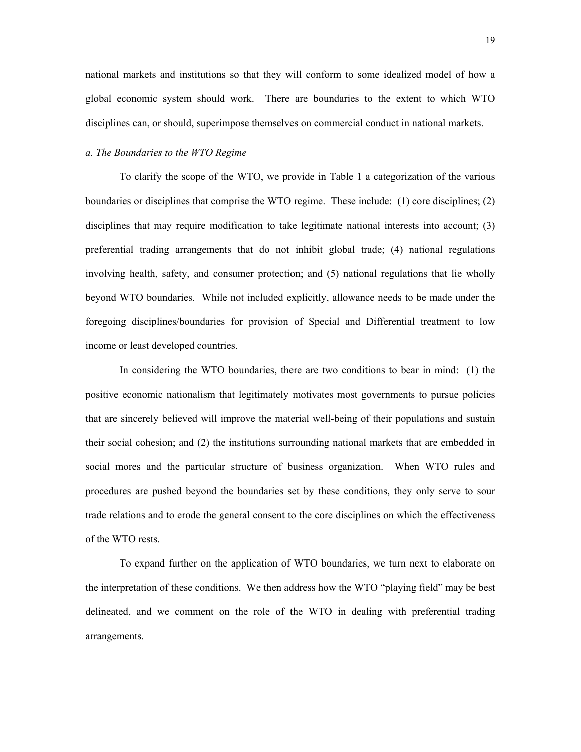national markets and institutions so that they will conform to some idealized model of how a global economic system should work. There are boundaries to the extent to which WTO disciplines can, or should, superimpose themselves on commercial conduct in national markets.

#### *a. The Boundaries to the WTO Regime*

To clarify the scope of the WTO, we provide in Table 1 a categorization of the various boundaries or disciplines that comprise the WTO regime. These include: (1) core disciplines; (2) disciplines that may require modification to take legitimate national interests into account; (3) preferential trading arrangements that do not inhibit global trade; (4) national regulations involving health, safety, and consumer protection; and (5) national regulations that lie wholly beyond WTO boundaries. While not included explicitly, allowance needs to be made under the foregoing disciplines/boundaries for provision of Special and Differential treatment to low income or least developed countries.

In considering the WTO boundaries, there are two conditions to bear in mind: (1) the positive economic nationalism that legitimately motivates most governments to pursue policies that are sincerely believed will improve the material well-being of their populations and sustain their social cohesion; and (2) the institutions surrounding national markets that are embedded in social mores and the particular structure of business organization. When WTO rules and procedures are pushed beyond the boundaries set by these conditions, they only serve to sour trade relations and to erode the general consent to the core disciplines on which the effectiveness of the WTO rests.

To expand further on the application of WTO boundaries, we turn next to elaborate on the interpretation of these conditions. We then address how the WTO "playing field" may be best delineated, and we comment on the role of the WTO in dealing with preferential trading arrangements.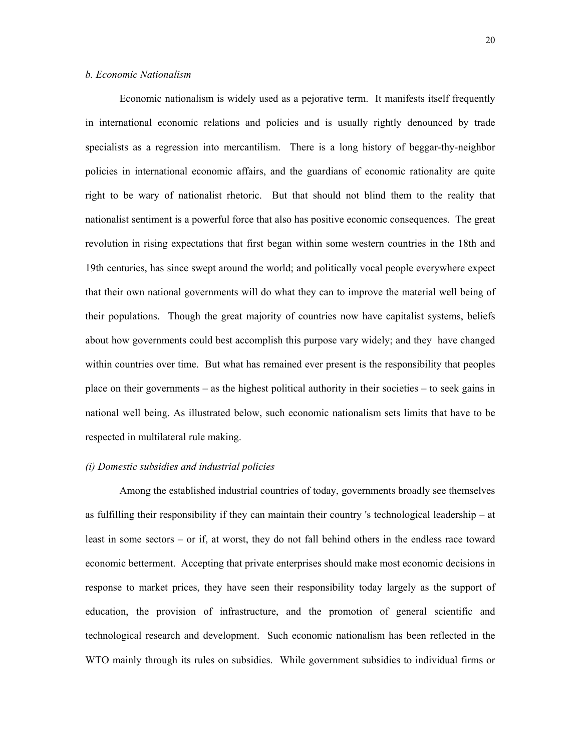#### *b. Economic Nationalism*

Economic nationalism is widely used as a pejorative term. It manifests itself frequently in international economic relations and policies and is usually rightly denounced by trade specialists as a regression into mercantilism. There is a long history of beggar-thy-neighbor policies in international economic affairs, and the guardians of economic rationality are quite right to be wary of nationalist rhetoric. But that should not blind them to the reality that nationalist sentiment is a powerful force that also has positive economic consequences. The great revolution in rising expectations that first began within some western countries in the 18th and 19th centuries, has since swept around the world; and politically vocal people everywhere expect that their own national governments will do what they can to improve the material well being of their populations. Though the great majority of countries now have capitalist systems, beliefs about how governments could best accomplish this purpose vary widely; and they have changed within countries over time. But what has remained ever present is the responsibility that peoples place on their governments – as the highest political authority in their societies – to seek gains in national well being. As illustrated below, such economic nationalism sets limits that have to be respected in multilateral rule making.

#### *(i) Domestic subsidies and industrial policies*

Among the established industrial countries of today, governments broadly see themselves as fulfilling their responsibility if they can maintain their country 's technological leadership – at least in some sectors – or if, at worst, they do not fall behind others in the endless race toward economic betterment. Accepting that private enterprises should make most economic decisions in response to market prices, they have seen their responsibility today largely as the support of education, the provision of infrastructure, and the promotion of general scientific and technological research and development. Such economic nationalism has been reflected in the WTO mainly through its rules on subsidies. While government subsidies to individual firms or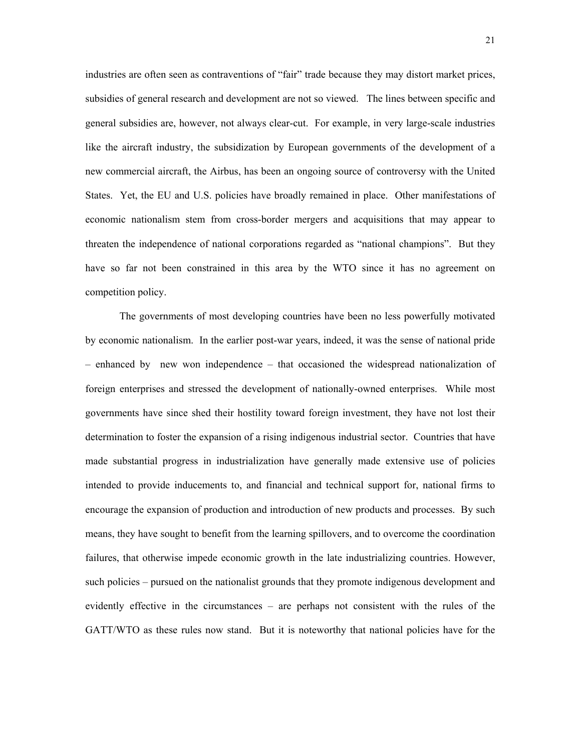industries are often seen as contraventions of "fair" trade because they may distort market prices, subsidies of general research and development are not so viewed. The lines between specific and general subsidies are, however, not always clear-cut. For example, in very large-scale industries like the aircraft industry, the subsidization by European governments of the development of a new commercial aircraft, the Airbus, has been an ongoing source of controversy with the United States. Yet, the EU and U.S. policies have broadly remained in place. Other manifestations of economic nationalism stem from cross-border mergers and acquisitions that may appear to threaten the independence of national corporations regarded as "national champions". But they have so far not been constrained in this area by the WTO since it has no agreement on competition policy.

The governments of most developing countries have been no less powerfully motivated by economic nationalism. In the earlier post-war years, indeed, it was the sense of national pride – enhanced by new won independence – that occasioned the widespread nationalization of foreign enterprises and stressed the development of nationally-owned enterprises. While most governments have since shed their hostility toward foreign investment, they have not lost their determination to foster the expansion of a rising indigenous industrial sector. Countries that have made substantial progress in industrialization have generally made extensive use of policies intended to provide inducements to, and financial and technical support for, national firms to encourage the expansion of production and introduction of new products and processes. By such means, they have sought to benefit from the learning spillovers, and to overcome the coordination failures, that otherwise impede economic growth in the late industrializing countries. However, such policies – pursued on the nationalist grounds that they promote indigenous development and evidently effective in the circumstances – are perhaps not consistent with the rules of the GATT/WTO as these rules now stand. But it is noteworthy that national policies have for the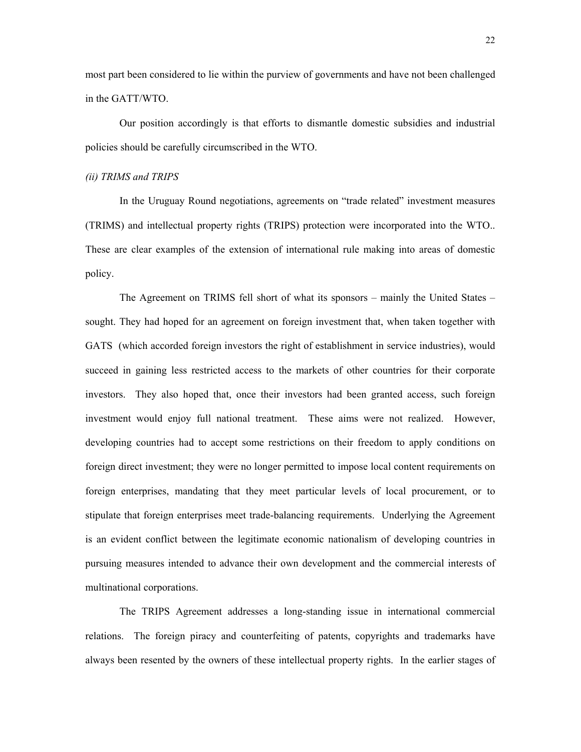most part been considered to lie within the purview of governments and have not been challenged in the GATT/WTO.

Our position accordingly is that efforts to dismantle domestic subsidies and industrial policies should be carefully circumscribed in the WTO.

## *(ii) TRIMS and TRIPS*

In the Uruguay Round negotiations, agreements on "trade related" investment measures (TRIMS) and intellectual property rights (TRIPS) protection were incorporated into the WTO.. These are clear examples of the extension of international rule making into areas of domestic policy.

The Agreement on TRIMS fell short of what its sponsors – mainly the United States – sought. They had hoped for an agreement on foreign investment that, when taken together with GATS (which accorded foreign investors the right of establishment in service industries), would succeed in gaining less restricted access to the markets of other countries for their corporate investors. They also hoped that, once their investors had been granted access, such foreign investment would enjoy full national treatment. These aims were not realized. However, developing countries had to accept some restrictions on their freedom to apply conditions on foreign direct investment; they were no longer permitted to impose local content requirements on foreign enterprises, mandating that they meet particular levels of local procurement, or to stipulate that foreign enterprises meet trade-balancing requirements. Underlying the Agreement is an evident conflict between the legitimate economic nationalism of developing countries in pursuing measures intended to advance their own development and the commercial interests of multinational corporations.

The TRIPS Agreement addresses a long-standing issue in international commercial relations. The foreign piracy and counterfeiting of patents, copyrights and trademarks have always been resented by the owners of these intellectual property rights. In the earlier stages of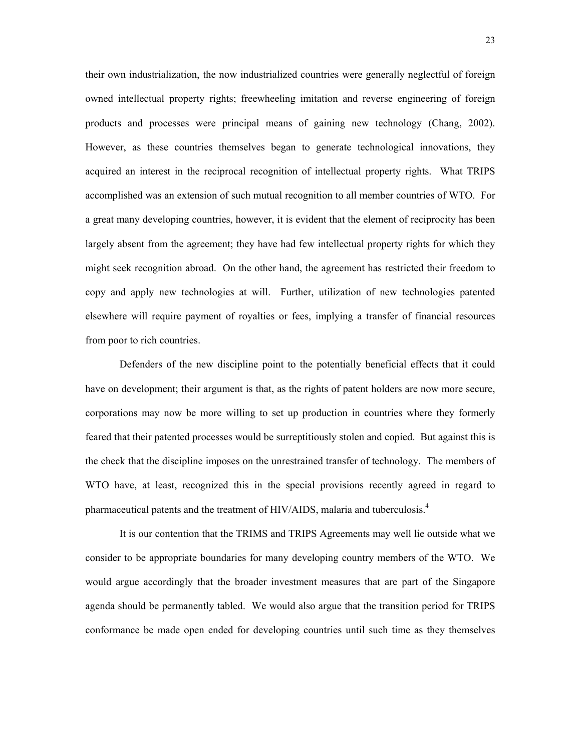their own industrialization, the now industrialized countries were generally neglectful of foreign owned intellectual property rights; freewheeling imitation and reverse engineering of foreign products and processes were principal means of gaining new technology (Chang, 2002). However, as these countries themselves began to generate technological innovations, they acquired an interest in the reciprocal recognition of intellectual property rights. What TRIPS accomplished was an extension of such mutual recognition to all member countries of WTO. For a great many developing countries, however, it is evident that the element of reciprocity has been largely absent from the agreement; they have had few intellectual property rights for which they might seek recognition abroad. On the other hand, the agreement has restricted their freedom to copy and apply new technologies at will. Further, utilization of new technologies patented elsewhere will require payment of royalties or fees, implying a transfer of financial resources from poor to rich countries.

Defenders of the new discipline point to the potentially beneficial effects that it could have on development; their argument is that, as the rights of patent holders are now more secure, corporations may now be more willing to set up production in countries where they formerly feared that their patented processes would be surreptitiously stolen and copied. But against this is the check that the discipline imposes on the unrestrained transfer of technology. The members of WTO have, at least, recognized this in the special provisions recently agreed in regard to pharmaceutical patents and the treatment of HIV/AIDS, malaria and tuberculosis.<sup>[4](#page-24-0)</sup>

<span id="page-24-0"></span>It is our contention that the TRIMS and TRIPS Agreements may well lie outside what we consider to be appropriate boundaries for many developing country members of the WTO. We would argue accordingly that the broader investment measures that are part of the Singapore agenda should be permanently tabled. We would also argue that the transition period for TRIPS conformance be made open ended for developing countries until such time as they themselves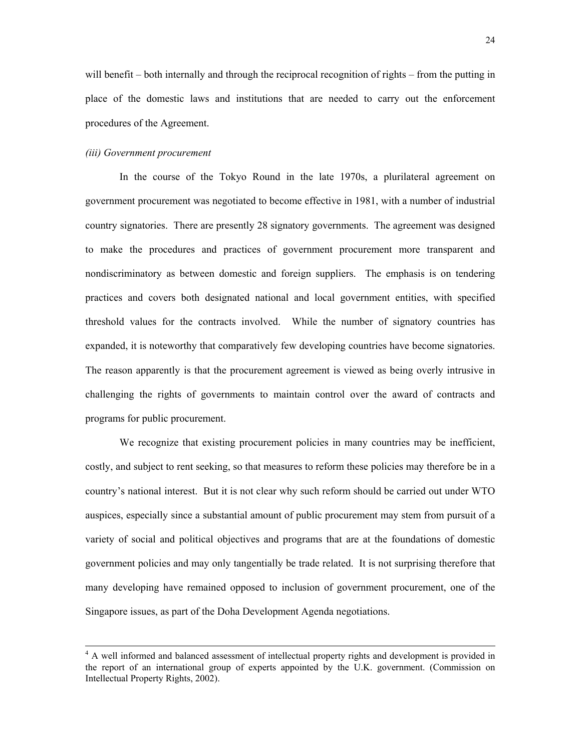will benefit – both internally and through the reciprocal recognition of rights – from the putting in place of the domestic laws and institutions that are needed to carry out the enforcement procedures of the Agreement.

#### *(iii) Government procurement*

In the course of the Tokyo Round in the late 1970s, a plurilateral agreement on government procurement was negotiated to become effective in 1981, with a number of industrial country signatories. There are presently 28 signatory governments. The agreement was designed to make the procedures and practices of government procurement more transparent and nondiscriminatory as between domestic and foreign suppliers. The emphasis is on tendering practices and covers both designated national and local government entities, with specified threshold values for the contracts involved. While the number of signatory countries has expanded, it is noteworthy that comparatively few developing countries have become signatories. The reason apparently is that the procurement agreement is viewed as being overly intrusive in challenging the rights of governments to maintain control over the award of contracts and programs for public procurement.

We recognize that existing procurement policies in many countries may be inefficient, costly, and subject to rent seeking, so that measures to reform these policies may therefore be in a country's national interest. But it is not clear why such reform should be carried out under WTO auspices, especially since a substantial amount of public procurement may stem from pursuit of a variety of social and political objectives and programs that are at the foundations of domestic government policies and may only tangentially be trade related. It is not surprising therefore that many developing have remained opposed to inclusion of government procurement, one of the Singapore issues, as part of the Doha Development Agenda negotiations.

<sup>&</sup>lt;sup>4</sup> A well informed and balanced assessment of intellectual property rights and development is provided in the report of an international group of experts appointed by the U.K. government. (Commission on Intellectual Property Rights, 2002).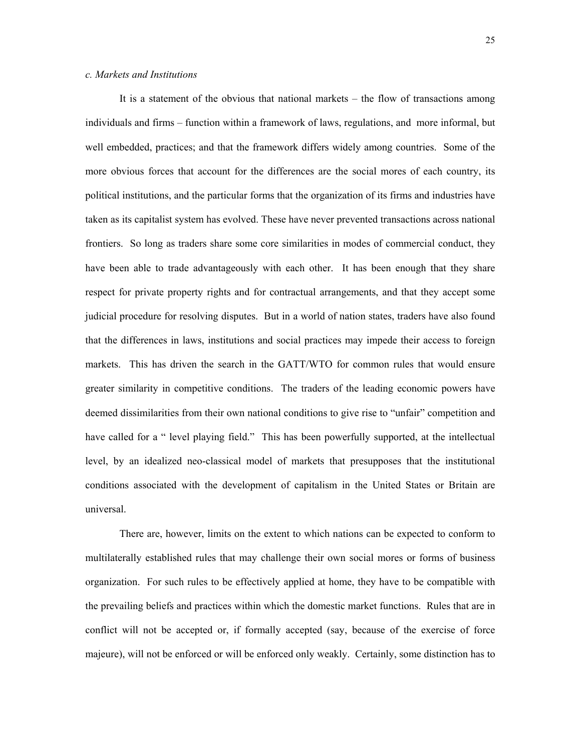#### *c. Markets and Institutions*

It is a statement of the obvious that national markets – the flow of transactions among individuals and firms – function within a framework of laws, regulations, and more informal, but well embedded, practices; and that the framework differs widely among countries. Some of the more obvious forces that account for the differences are the social mores of each country, its political institutions, and the particular forms that the organization of its firms and industries have taken as its capitalist system has evolved. These have never prevented transactions across national frontiers. So long as traders share some core similarities in modes of commercial conduct, they have been able to trade advantageously with each other. It has been enough that they share respect for private property rights and for contractual arrangements, and that they accept some judicial procedure for resolving disputes. But in a world of nation states, traders have also found that the differences in laws, institutions and social practices may impede their access to foreign markets. This has driven the search in the GATT/WTO for common rules that would ensure greater similarity in competitive conditions. The traders of the leading economic powers have deemed dissimilarities from their own national conditions to give rise to "unfair" competition and have called for a " level playing field." This has been powerfully supported, at the intellectual level, by an idealized neo-classical model of markets that presupposes that the institutional conditions associated with the development of capitalism in the United States or Britain are universal.

There are, however, limits on the extent to which nations can be expected to conform to multilaterally established rules that may challenge their own social mores or forms of business organization. For such rules to be effectively applied at home, they have to be compatible with the prevailing beliefs and practices within which the domestic market functions. Rules that are in conflict will not be accepted or, if formally accepted (say, because of the exercise of force majeure), will not be enforced or will be enforced only weakly. Certainly, some distinction has to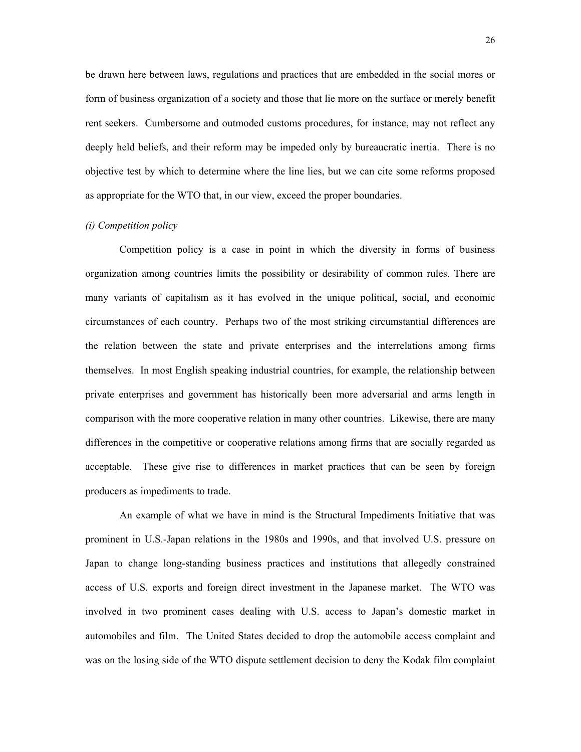be drawn here between laws, regulations and practices that are embedded in the social mores or form of business organization of a society and those that lie more on the surface or merely benefit rent seekers. Cumbersome and outmoded customs procedures, for instance, may not reflect any deeply held beliefs, and their reform may be impeded only by bureaucratic inertia. There is no objective test by which to determine where the line lies, but we can cite some reforms proposed as appropriate for the WTO that, in our view, exceed the proper boundaries.

#### *(i) Competition policy*

Competition policy is a case in point in which the diversity in forms of business organization among countries limits the possibility or desirability of common rules. There are many variants of capitalism as it has evolved in the unique political, social, and economic circumstances of each country. Perhaps two of the most striking circumstantial differences are the relation between the state and private enterprises and the interrelations among firms themselves. In most English speaking industrial countries, for example, the relationship between private enterprises and government has historically been more adversarial and arms length in comparison with the more cooperative relation in many other countries. Likewise, there are many differences in the competitive or cooperative relations among firms that are socially regarded as acceptable. These give rise to differences in market practices that can be seen by foreign producers as impediments to trade.

An example of what we have in mind is the Structural Impediments Initiative that was prominent in U.S.-Japan relations in the 1980s and 1990s, and that involved U.S. pressure on Japan to change long-standing business practices and institutions that allegedly constrained access of U.S. exports and foreign direct investment in the Japanese market. The WTO was involved in two prominent cases dealing with U.S. access to Japan's domestic market in automobiles and film. The United States decided to drop the automobile access complaint and was on the losing side of the WTO dispute settlement decision to deny the Kodak film complaint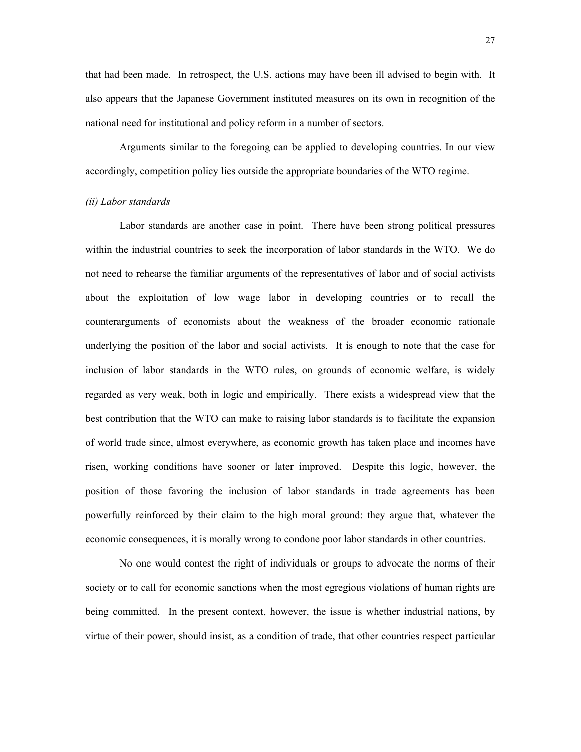that had been made. In retrospect, the U.S. actions may have been ill advised to begin with. It also appears that the Japanese Government instituted measures on its own in recognition of the national need for institutional and policy reform in a number of sectors.

Arguments similar to the foregoing can be applied to developing countries. In our view accordingly, competition policy lies outside the appropriate boundaries of the WTO regime.

#### *(ii) Labor standards*

Labor standards are another case in point. There have been strong political pressures within the industrial countries to seek the incorporation of labor standards in the WTO. We do not need to rehearse the familiar arguments of the representatives of labor and of social activists about the exploitation of low wage labor in developing countries or to recall the counterarguments of economists about the weakness of the broader economic rationale underlying the position of the labor and social activists. It is enough to note that the case for inclusion of labor standards in the WTO rules, on grounds of economic welfare, is widely regarded as very weak, both in logic and empirically. There exists a widespread view that the best contribution that the WTO can make to raising labor standards is to facilitate the expansion of world trade since, almost everywhere, as economic growth has taken place and incomes have risen, working conditions have sooner or later improved. Despite this logic, however, the position of those favoring the inclusion of labor standards in trade agreements has been powerfully reinforced by their claim to the high moral ground: they argue that, whatever the economic consequences, it is morally wrong to condone poor labor standards in other countries.

No one would contest the right of individuals or groups to advocate the norms of their society or to call for economic sanctions when the most egregious violations of human rights are being committed. In the present context, however, the issue is whether industrial nations, by virtue of their power, should insist, as a condition of trade, that other countries respect particular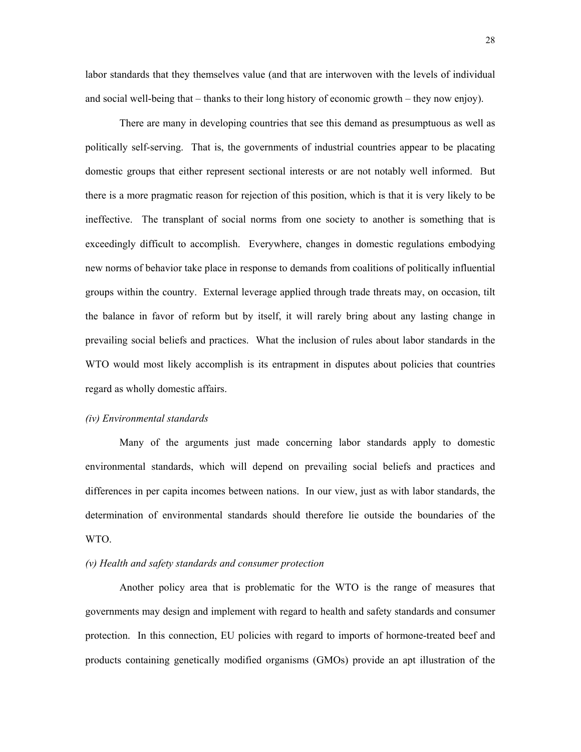labor standards that they themselves value (and that are interwoven with the levels of individual and social well-being that – thanks to their long history of economic growth – they now enjoy).

There are many in developing countries that see this demand as presumptuous as well as politically self-serving. That is, the governments of industrial countries appear to be placating domestic groups that either represent sectional interests or are not notably well informed. But there is a more pragmatic reason for rejection of this position, which is that it is very likely to be ineffective. The transplant of social norms from one society to another is something that is exceedingly difficult to accomplish. Everywhere, changes in domestic regulations embodying new norms of behavior take place in response to demands from coalitions of politically influential groups within the country. External leverage applied through trade threats may, on occasion, tilt the balance in favor of reform but by itself, it will rarely bring about any lasting change in prevailing social beliefs and practices. What the inclusion of rules about labor standards in the WTO would most likely accomplish is its entrapment in disputes about policies that countries regard as wholly domestic affairs.

#### *(iv) Environmental standards*

Many of the arguments just made concerning labor standards apply to domestic environmental standards, which will depend on prevailing social beliefs and practices and differences in per capita incomes between nations. In our view, just as with labor standards, the determination of environmental standards should therefore lie outside the boundaries of the WTO.

#### *(v) Health and safety standards and consumer protection*

Another policy area that is problematic for the WTO is the range of measures that governments may design and implement with regard to health and safety standards and consumer protection. In this connection, EU policies with regard to imports of hormone-treated beef and products containing genetically modified organisms (GMOs) provide an apt illustration of the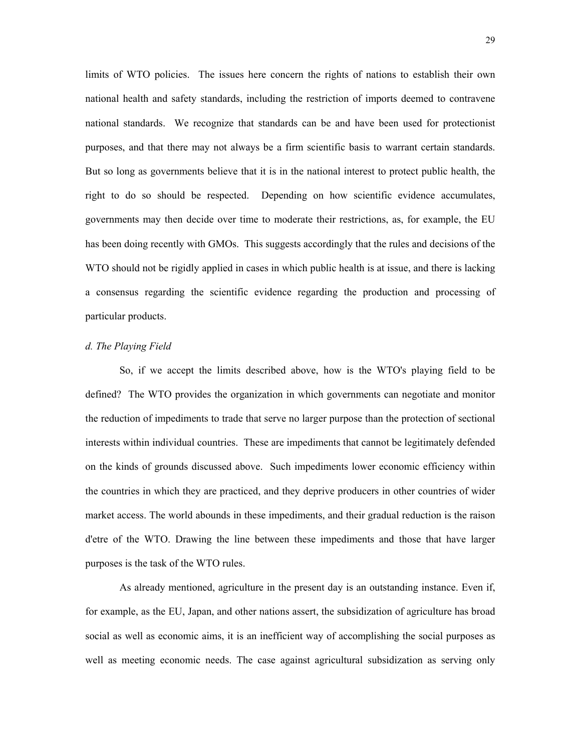limits of WTO policies. The issues here concern the rights of nations to establish their own national health and safety standards, including the restriction of imports deemed to contravene national standards. We recognize that standards can be and have been used for protectionist purposes, and that there may not always be a firm scientific basis to warrant certain standards. But so long as governments believe that it is in the national interest to protect public health, the right to do so should be respected. Depending on how scientific evidence accumulates, governments may then decide over time to moderate their restrictions, as, for example, the EU has been doing recently with GMOs. This suggests accordingly that the rules and decisions of the WTO should not be rigidly applied in cases in which public health is at issue, and there is lacking a consensus regarding the scientific evidence regarding the production and processing of particular products.

#### *d. The Playing Field*

So, if we accept the limits described above, how is the WTO's playing field to be defined? The WTO provides the organization in which governments can negotiate and monitor the reduction of impediments to trade that serve no larger purpose than the protection of sectional interests within individual countries. These are impediments that cannot be legitimately defended on the kinds of grounds discussed above. Such impediments lower economic efficiency within the countries in which they are practiced, and they deprive producers in other countries of wider market access. The world abounds in these impediments, and their gradual reduction is the raison d'etre of the WTO. Drawing the line between these impediments and those that have larger purposes is the task of the WTO rules.

As already mentioned, agriculture in the present day is an outstanding instance. Even if, for example, as the EU, Japan, and other nations assert, the subsidization of agriculture has broad social as well as economic aims, it is an inefficient way of accomplishing the social purposes as well as meeting economic needs. The case against agricultural subsidization as serving only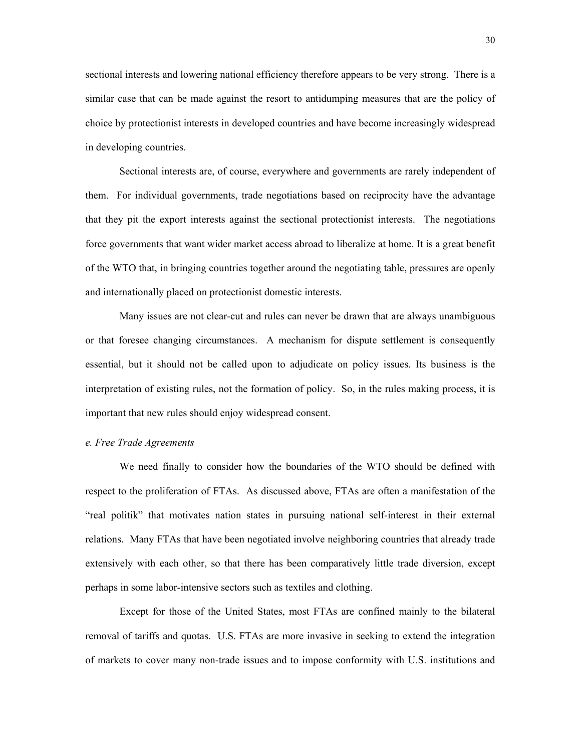sectional interests and lowering national efficiency therefore appears to be very strong. There is a similar case that can be made against the resort to antidumping measures that are the policy of choice by protectionist interests in developed countries and have become increasingly widespread in developing countries.

Sectional interests are, of course, everywhere and governments are rarely independent of them. For individual governments, trade negotiations based on reciprocity have the advantage that they pit the export interests against the sectional protectionist interests. The negotiations force governments that want wider market access abroad to liberalize at home. It is a great benefit of the WTO that, in bringing countries together around the negotiating table, pressures are openly and internationally placed on protectionist domestic interests.

Many issues are not clear-cut and rules can never be drawn that are always unambiguous or that foresee changing circumstances. A mechanism for dispute settlement is consequently essential, but it should not be called upon to adjudicate on policy issues. Its business is the interpretation of existing rules, not the formation of policy. So, in the rules making process, it is important that new rules should enjoy widespread consent.

#### *e. Free Trade Agreements*

We need finally to consider how the boundaries of the WTO should be defined with respect to the proliferation of FTAs. As discussed above, FTAs are often a manifestation of the "real politik" that motivates nation states in pursuing national self-interest in their external relations. Many FTAs that have been negotiated involve neighboring countries that already trade extensively with each other, so that there has been comparatively little trade diversion, except perhaps in some labor-intensive sectors such as textiles and clothing.

Except for those of the United States, most FTAs are confined mainly to the bilateral removal of tariffs and quotas. U.S. FTAs are more invasive in seeking to extend the integration of markets to cover many non-trade issues and to impose conformity with U.S. institutions and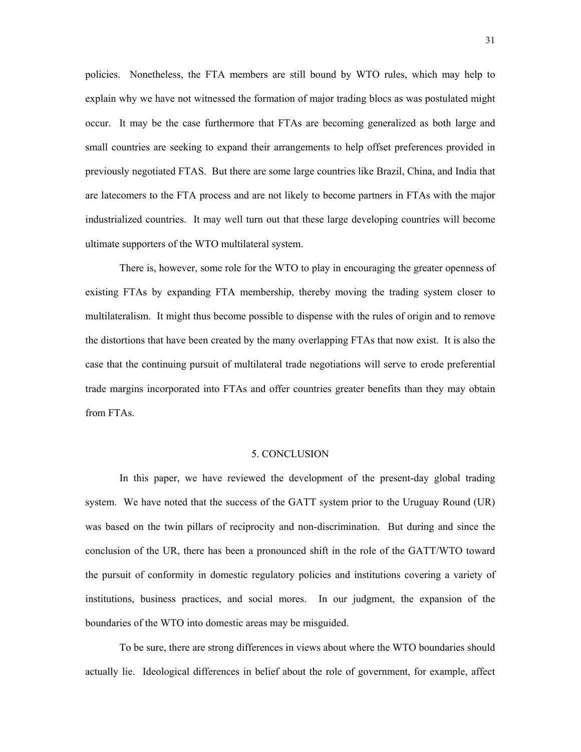policies. Nonetheless, the FTA members are still bound by WTO rules, which may help to explain why we have not witnessed the formation of major trading blocs as was postulated might occur. It may be the case furthermore that FTAs are becoming generalized as both large and small countries are seeking to expand their arrangements to help offset preferences provided in previously negotiated FTAS. But there are some large countries like Brazil, China, and India that are latecomers to the FTA process and are not likely to become partners in FTAs with the major industrialized countries. It may well turn out that these large developing countries will become ultimate supporters of the WTO multilateral system.

There is, however, some role for the WTO to play in encouraging the greater openness of existing FTAs by expanding FTA membership, thereby moving the trading system closer to multilateralism. It might thus become possible to dispense with the rules of origin and to remove the distortions that have been created by the many overlapping FTAs that now exist. It is also the case that the continuing pursuit of multilateral trade negotiations will serve to erode preferential trade margins incorporated into FTAs and offer countries greater benefits than they may obtain from FTAs.

#### 5. CONCLUSION

In this paper, we have reviewed the development of the present-day global trading system. We have noted that the success of the GATT system prior to the Uruguay Round (UR) was based on the twin pillars of reciprocity and non-discrimination. But during and since the conclusion of the UR, there has been a pronounced shift in the role of the GATT/WTO toward the pursuit of conformity in domestic regulatory policies and institutions covering a variety of institutions, business practices, and social mores. In our judgment, the expansion of the boundaries of the WTO into domestic areas may be misguided.

To be sure, there are strong differences in views about where the WTO boundaries should actually lie. Ideological differences in belief about the role of government, for example, affect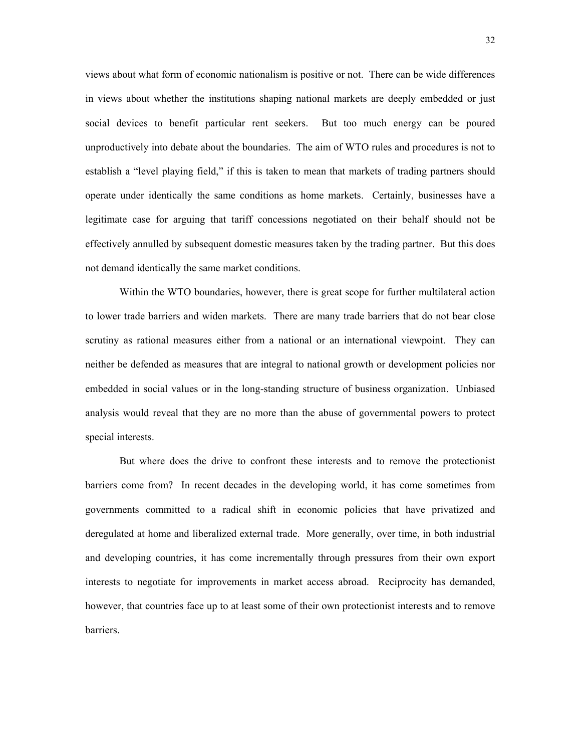views about what form of economic nationalism is positive or not. There can be wide differences in views about whether the institutions shaping national markets are deeply embedded or just social devices to benefit particular rent seekers. But too much energy can be poured unproductively into debate about the boundaries. The aim of WTO rules and procedures is not to establish a "level playing field," if this is taken to mean that markets of trading partners should operate under identically the same conditions as home markets. Certainly, businesses have a legitimate case for arguing that tariff concessions negotiated on their behalf should not be effectively annulled by subsequent domestic measures taken by the trading partner. But this does not demand identically the same market conditions.

Within the WTO boundaries, however, there is great scope for further multilateral action to lower trade barriers and widen markets. There are many trade barriers that do not bear close scrutiny as rational measures either from a national or an international viewpoint. They can neither be defended as measures that are integral to national growth or development policies nor embedded in social values or in the long-standing structure of business organization. Unbiased analysis would reveal that they are no more than the abuse of governmental powers to protect special interests.

But where does the drive to confront these interests and to remove the protectionist barriers come from? In recent decades in the developing world, it has come sometimes from governments committed to a radical shift in economic policies that have privatized and deregulated at home and liberalized external trade. More generally, over time, in both industrial and developing countries, it has come incrementally through pressures from their own export interests to negotiate for improvements in market access abroad. Reciprocity has demanded, however, that countries face up to at least some of their own protectionist interests and to remove barriers.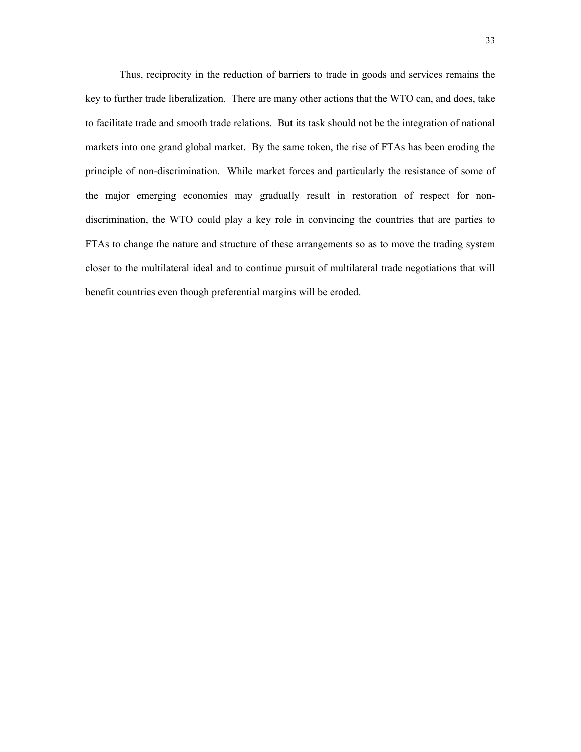Thus, reciprocity in the reduction of barriers to trade in goods and services remains the key to further trade liberalization. There are many other actions that the WTO can, and does, take to facilitate trade and smooth trade relations. But its task should not be the integration of national markets into one grand global market. By the same token, the rise of FTAs has been eroding the principle of non-discrimination. While market forces and particularly the resistance of some of the major emerging economies may gradually result in restoration of respect for nondiscrimination, the WTO could play a key role in convincing the countries that are parties to FTAs to change the nature and structure of these arrangements so as to move the trading system closer to the multilateral ideal and to continue pursuit of multilateral trade negotiations that will benefit countries even though preferential margins will be eroded.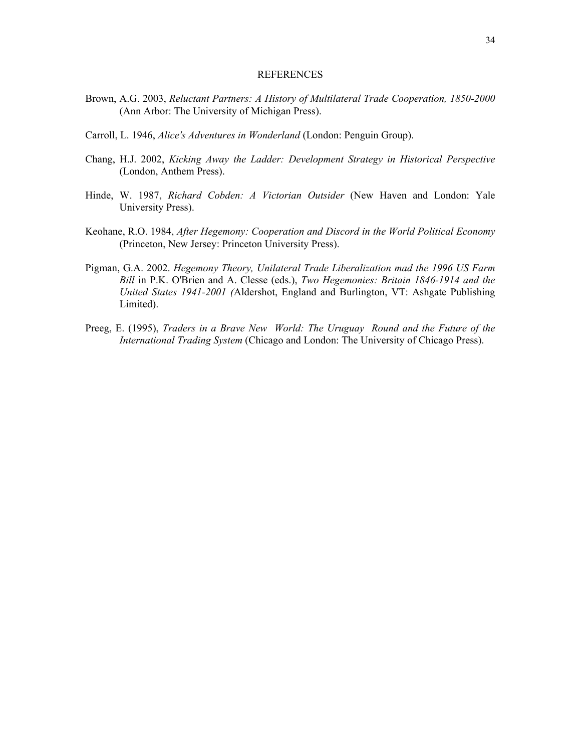#### **REFERENCES**

- Brown, A.G. 2003, *Reluctant Partners: A History of Multilateral Trade Cooperation, 1850-2000* (Ann Arbor: The University of Michigan Press).
- Carroll, L. 1946, *Alice's Adventures in Wonderland* (London: Penguin Group).
- Chang, H.J. 2002, *Kicking Away the Ladder: Development Strategy in Historical Perspective* (London, Anthem Press).
- Hinde, W. 1987, *Richard Cobden: A Victorian Outsider* (New Haven and London: Yale University Press).
- Keohane, R.O. 1984, *After Hegemony: Cooperation and Discord in the World Political Economy* (Princeton, New Jersey: Princeton University Press).
- Pigman, G.A. 2002. *Hegemony Theory, Unilateral Trade Liberalization mad the 1996 US Farm Bill* in P.K. O'Brien and A. Clesse (eds.), *Two Hegemonies: Britain 1846-1914 and the United States 1941-2001 (*Aldershot, England and Burlington, VT: Ashgate Publishing Limited).
- Preeg, E. (1995), *Traders in a Brave New World: The Uruguay Round and the Future of the International Trading System* (Chicago and London: The University of Chicago Press).